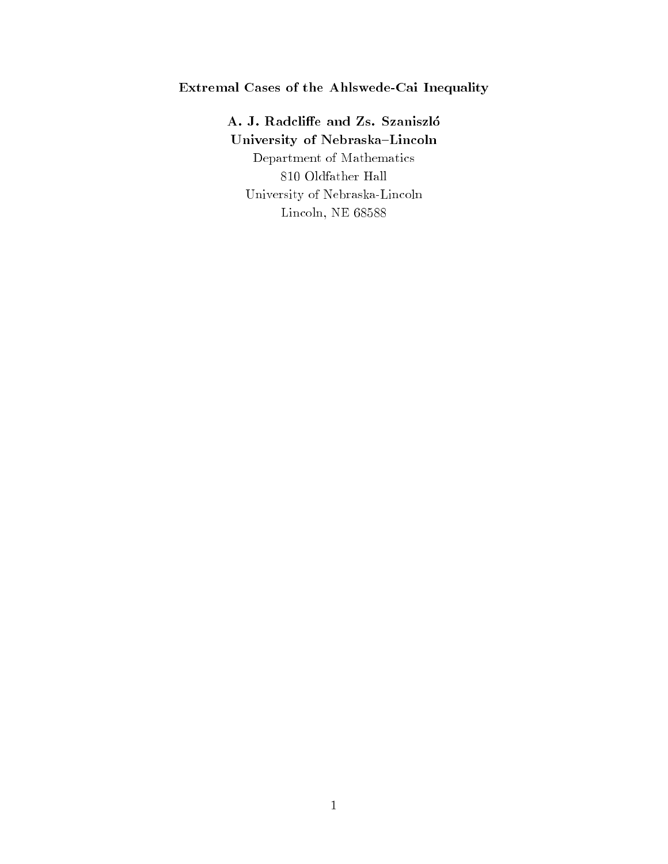# Extremal Cases of the Ahlswede-Cai Inequality

A. J. Radcliffe and Zs. Szaniszló University of Nebraska-Lincoln Department of Mathematics 810 Oldfather Hall University of Nebraska-Lincoln Lincoln, NE 68588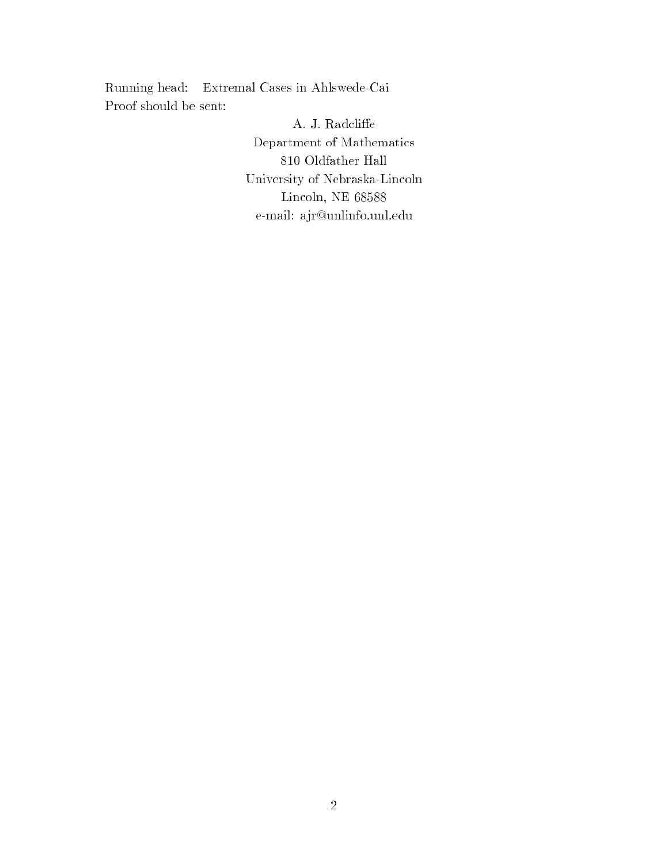Running head: Extremal Cases in Ahlswede-Cai Proof should be sent:

> A. J. Radcliffe $\,$ Department of Mathematics 810 Oldfather Hall University of Nebraska-Lincoln Lincoln, NE 68588 e-mail: ajr@unlinfo.unl.edu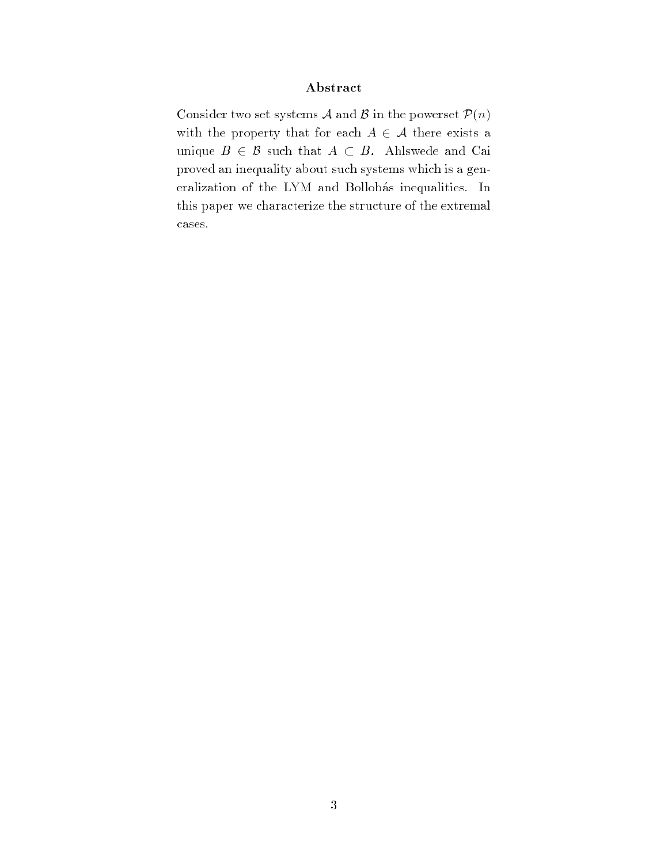## Abstract

Consider two set systems  $A$  and  $B$  in the powerset  $P(n)$ with the property that for each  $A \in \mathcal{A}$  there exists a unique  $B \in \mathcal{B}$  such that  $A \subset B$ . Ahlswede and Cai proved an inequality about such systems which is a generalization of the LYM and Bollobás inequalities. In this paper we characterize the structure of the extremal cases.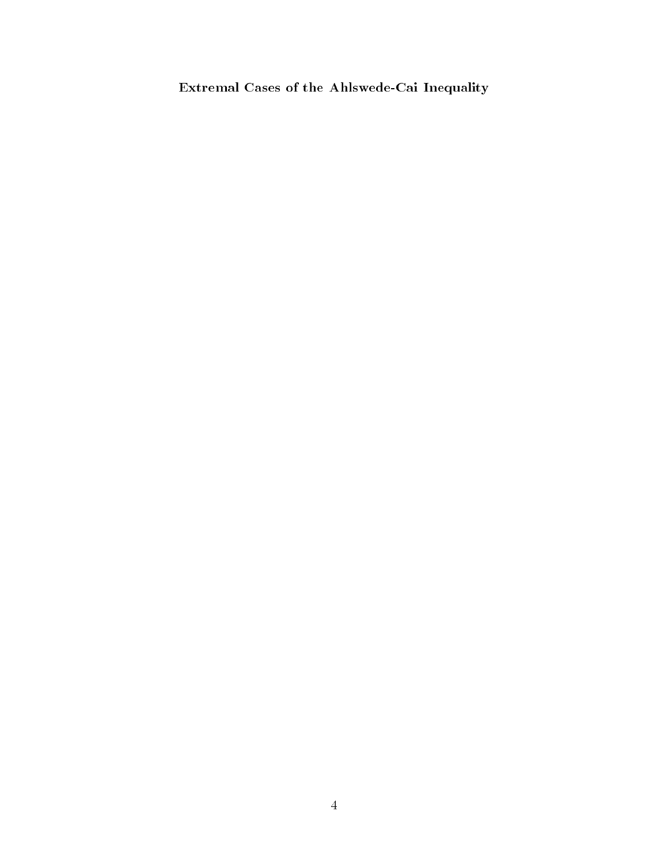Extremal Cases of the Ahlswede-Cai Inequality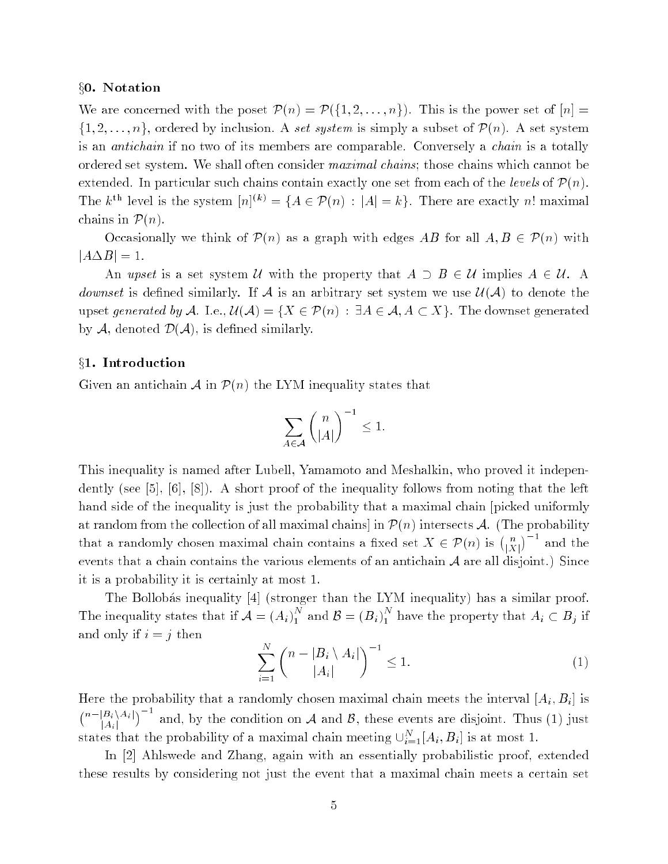#### x0. Notation

We are concerned with the poset  $\mathcal{P}(n) = \mathcal{P}(\{1, 2, ..., n\})$ . This is the power set of  $[n] =$  $\{1, 2, \ldots, n\}$ , ordered by inclusion. A set system is simply a subset of  $\mathcal{P}(n)$ . A set system is an *antichain* if no two of its members are comparable. Conversely a *chain* is a totally ordered set system. We shall often consider maximal chains; those chains which cannot be extended. In particular such chains contain exactly one set from each of the levels of  $\mathcal{P}(n)$ . The k<sup>th</sup> level is the system  $[n]^{(k)} = \{A \in \mathcal{P}(n) : |A| = k\}$ . There are exactly n! maximal chains in  $\mathcal{P}(n)$ .

Occasionally we think of  $\mathcal{P}(n)$  as a graph with edges AB for all  $A, B \in \mathcal{P}(n)$  with  $|A \Delta B| = 1.$ 

An upset is a set system U with the property that  $A \supset B \in \mathcal{U}$  implies  $A \in \mathcal{U}$ . A *downset* is defined similarly. If A is an arbitrary set system we use  $\mathcal{U}(\mathcal{A})$  to denote the upset generated by A. I.e.,  $\mathcal{U}(\mathcal{A}) = \{X \in \mathcal{P}(n) : \exists A \in \mathcal{A}, A \subset X\}$ . The downset generated by  $A$ , denoted  $D(A)$ , is defined similarly.

#### §1. Introduction

Given an antichain  $\mathcal A$  in  $\mathcal P(n)$  the LYM inequality states that

$$
\sum_{A\in\mathcal{A}}\binom{n}{|A|}^{-1}\leq 1.
$$

This inequality is named after Lubell, Yamamoto and Meshalkin, who proved it independently (see  $[5]$ ,  $[6]$ ,  $[8]$ ). A short proof of the inequality follows from noting that the left hand side of the inequality is just the probability that a maximal chain [picked uniformly at random from the collection of all maximal chains] in  $\mathcal{P}(n)$  intersects A. (The probability that a randomly chosen maximal chain contains a fixed set  $X \in \mathcal{P}(n)$  is  $\binom{n}{|X|}$  $\eta$   $\eta$ events that a chain contains the various elements of an antichain  $A$  are all disjoint.) Since it is a probability it is certainly at most 1.

The Bollobás inequality [4] (stronger than the LYM inequality) has a similar proof. The inequality states that if  $\mathcal{A} = (A_i)_1^N$  and  $\mathcal{B} = (B_i)_1^N$  have the property that  $A_i \subset B_j$  if and only if  $i = j$  then

$$
\sum_{i=1}^{N} \binom{n-|B_i \setminus A_i|}{|A_i|}^{-1} \le 1. \tag{1}
$$

Here the probability that a randomly chosen maximal chain meets the interval  $[A_i, B_i]$  is  $n-|B_i\setminus A_i|$  $|A_i|$  $\sim$  1. and, by the condition on <sup>A</sup> and B, these events are disjoint. Thus (1) just states that the probability of a maximal chain meeting  $\cup_{i=1}^{N} [A_i, B_i]$  is at most 1.

In [2] Ahlswede and Zhang, again with an essentially probabilistic proof, extended these results by considering not just the event that a maximal chain meets a certain set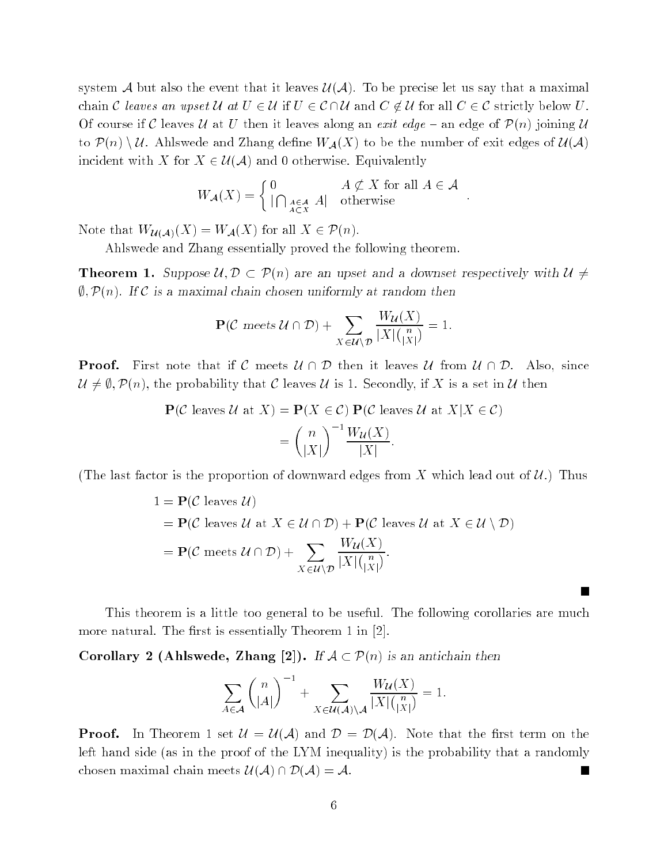system A but also the event that it leaves  $\mathcal{U}(\mathcal{A})$ . To be precise let us say that a maximal chain C leaves an upset U at  $U \in \mathcal{U}$  if  $U \in \mathcal{C} \cap \mathcal{U}$  and  $C \notin \mathcal{U}$  for all  $C \in \mathcal{C}$  strictly below U. Of course if C leaves U at U then it leaves along an exit edge  $-$  an edge of  $\mathcal{P}(n)$  joining U to  $\mathcal{P}(n) \setminus \mathcal{U}$ . Ahlswede and Zhang define  $W_{\mathcal{A}}(X)$  to be the number of exit edges of  $\mathcal{U}(\mathcal{A})$ incident with X for  $X \in \mathcal{U}(\mathcal{A})$  and 0 otherwise. Equivalently

$$
W_{\mathcal{A}}(X) = \begin{cases} 0 & A \nsubseteq X \text{ for all } A \in \mathcal{A} \\ |\bigcap_{A \in \mathcal{A}} A| & \text{otherwise} \end{cases}.
$$

Note that  $W_{\mathcal{U}(\mathcal{A})}(X) = W_{\mathcal{A}}(X)$  for all  $X \in \mathcal{P}(n)$ .

Ahlswede and Zhang essentially proved the following theorem.

**Theorem 1.** Suppose  $\mathcal{U}, \mathcal{D} \subset \mathcal{P}(n)$  are an upset and a downset respectively with  $\mathcal{U} \neq$  $\emptyset$ ,  $\mathcal{P}(n)$ . If C is a maximal chain chosen uniformly at random then

$$
\mathbf{P}(\mathcal{C} \text{ meets } \mathcal{U} \cap \mathcal{D}) + \sum_{X \in \mathcal{U} \setminus \mathcal{D}} \frac{W_{\mathcal{U}}(X)}{|X| \binom{n}{|X|}} = 1.
$$

**Proof.** First note that if C meets  $\mathcal{U} \cap \mathcal{D}$  then it leaves  $\mathcal{U}$  from  $\mathcal{U} \cap \mathcal{D}$ . Also, since  $\mathcal{U} \neq \emptyset$ ,  $\mathcal{P}(n)$ , the probability that C leaves U is 1. Secondly, if X is a set in U then

$$
\mathbf{P}(\mathcal{C} \text{ leaves } \mathcal{U} \text{ at } X) = \mathbf{P}(X \in \mathcal{C}) \mathbf{P}(\mathcal{C} \text{ leaves } \mathcal{U} \text{ at } X | X \in \mathcal{C})
$$

$$
= \binom{n}{|X|}^{-1} \frac{W_{\mathcal{U}}(X)}{|X|}.
$$

(The last factor is the proportion of downward edges from X which lead out of  $\mathcal{U}$ .) Thus

$$
1 = \mathbf{P}(\mathcal{C} \text{ leaves } \mathcal{U})
$$
  
=  $\mathbf{P}(\mathcal{C} \text{ leaves } \mathcal{U} \text{ at } X \in \mathcal{U} \cap \mathcal{D}) + \mathbf{P}(\mathcal{C} \text{ leaves } \mathcal{U} \text{ at } X \in \mathcal{U} \setminus \mathcal{D})$   
=  $\mathbf{P}(\mathcal{C} \text{ meets } \mathcal{U} \cap \mathcal{D}) + \sum_{X \in \mathcal{U} \setminus \mathcal{D}} \frac{W_{\mathcal{U}}(X)}{|X| \binom{n}{|X|}}.$ 

This theorem is a little too general to be useful. The following corollaries are much more natural. The first is essentially Theorem 1 in  $[2]$ .

Corollary 2 (Ahlswede, Zhang [2]). If  $A \subset \mathcal{P}(n)$  is an antichain then

$$
\sum_{A \in \mathcal{A}} {n \choose |A|}^{-1} + \sum_{X \in \mathcal{U}(\mathcal{A}) \setminus \mathcal{A}} \frac{W_{\mathcal{U}}(X)}{|X| {n \choose |X|}} = 1.
$$

**Proof.** In Theorem 1 set  $\mathcal{U} = \mathcal{U}(\mathcal{A})$  and  $\mathcal{D} = \mathcal{D}(\mathcal{A})$ . Note that the first term on the left hand side (as in the proof of the LYM inequality) is the probability that a randomly chosen maximal chain meets  $\mathcal{U}(\mathcal{A}) \cap \mathcal{D}(\mathcal{A}) = \mathcal{A}$ . M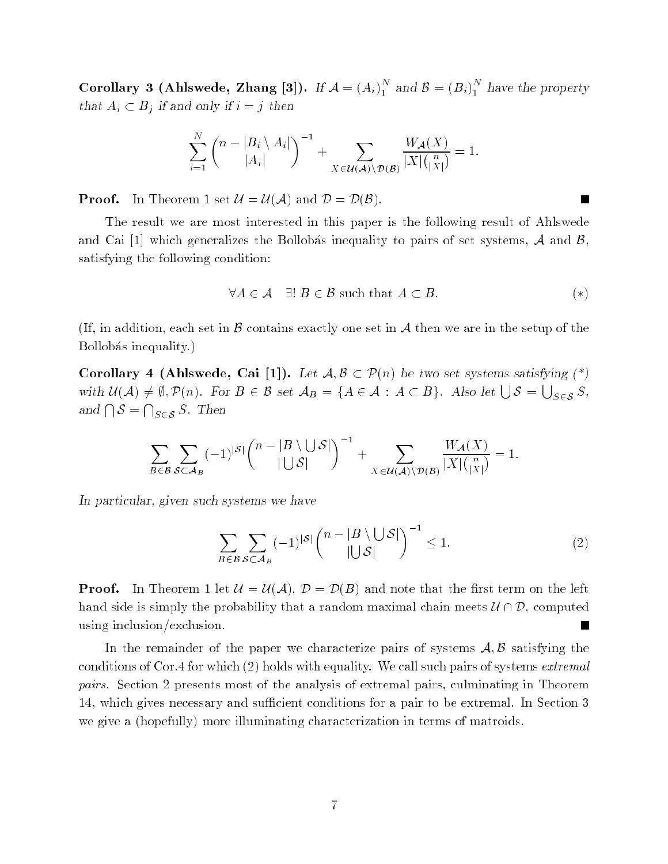Corollary 3 (Ahlswede, Zhang [3]). If  $\mathcal{A} = \left( A_i \right)_{1}^{N}$  and  $\mathcal{B} = \left( B_i \right)_{1}^{N}$  $1$  have the property  $1$  have the property  $1$ that  $A_i \subset B_j$  if and only if  $i = j$  then

$$
\sum_{i=1}^N \binom{n-|B_i \setminus A_i|}{|A_i|}^{-1} + \sum_{X \in \mathcal{U}(\mathcal{A}) \setminus \mathcal{D}(\mathcal{B})} \frac{W_{\mathcal{A}}(X)}{|X| \binom{n}{|X|}} = 1.
$$

**Proof.** In Theorem 1 set  $\mathcal{U} = \mathcal{U}(\mathcal{A})$  and  $\mathcal{D} = \mathcal{D}(\mathcal{B})$ .

The result we are most interested in this paper is the following result of Ahlswede and Cai [1] which generalizes the Bollobás inequality to pairs of set systems,  $\mathcal A$  and  $\mathcal B$ , satisfying the following condition:

$$
\forall A \in \mathcal{A} \quad \exists! \ B \in \mathcal{B} \text{ such that } A \subset B. \tag{*}
$$

 $\overline{\phantom{a}}$ 

(If, in addition, each set in  $\beta$  contains exactly one set in  $\mathcal A$  then we are in the setup of the Bollobás inequality.)

Corollary 4 (Ahlswede, Cai [1]). Let  $A, B \subset \mathcal{P}(n)$  be two set systems satisfying  $(*)$ with  $\mathcal{U}(\mathcal{A}) \neq \emptyset$ ,  $\mathcal{P}(n)$ . For  $B \in \mathcal{B}$  set  $\mathcal{A}_B = \{A \in \mathcal{A} : A \subset B\}$ . Also let  $\bigcup \mathcal{S} =$  $\bigcup_{S\in\mathcal{S}}S,$ and  $\bigcap$   $S =$  $\bigcap_{S\in\mathcal{S}}S$ . Then

$$
\sum_{B\in\mathcal{B}}\sum_{\mathcal{S}\subset\mathcal{A}_B}(-1)^{|\mathcal{S}|}\binom{n-|B\setminus\bigcup\mathcal{S}|}{|\bigcup\mathcal{S}|}^{-1}+\sum_{X\in\mathcal{U}(\mathcal{A})\setminus\mathcal{D}(\mathcal{B})}\frac{W_{\mathcal{A}}(X)}{|X|\binom{n}{|X|}}=1.
$$

In particular, given such systems we have

$$
\sum_{B \in \mathcal{B}} \sum_{\mathcal{S} \subset \mathcal{A}_B} (-1)^{|\mathcal{S}|} {n - |B \setminus \bigcup \mathcal{S}| \choose |\bigcup \mathcal{S}|}^{-1} \le 1.
$$
 (2)

**Proof.** In Theorem 1 let  $\mathcal{U} = \mathcal{U}(\mathcal{A}), \mathcal{D} = \mathcal{D}(B)$  and note that the first term on the left hand side is simply the probability that a random maximal chain meets  $\mathcal{U} \cap \mathcal{D}$ , computed using inclusion/exclusion. **T** 

In the remainder of the paper we characterize pairs of systems  $A, B$  satisfying the conditions of Cor.4 for which (2) holds with equality. We call such pairs of systems extremal pairs. Section 2 presents most of the analysis of extremal pairs, culminating in Theorem 14, which gives necessary and sufficient conditions for a pair to be extremal. In Section 3 we give a (hopefully) more illuminating characterization in terms of matroids.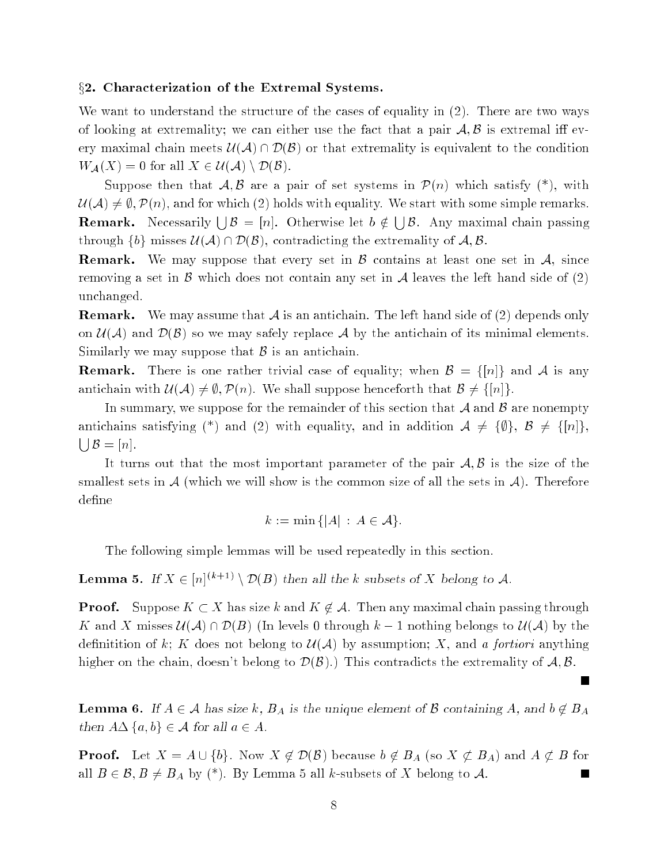#### $\S 2.$  Characterization of the Extremal Systems.

We want to understand the structure of the cases of equality in (2). There are two ways of looking at extremality; we can either use the fact that a pair  $A, B$  is extremal iff every maximal chain meets  $\mathcal{U}(\mathcal{A}) \cap \mathcal{D}(\mathcal{B})$  or that extremality is equivalent to the condition  $W_{\mathcal{A}}(X) = 0$  for all  $X \in \mathcal{U}(\mathcal{A}) \setminus \mathcal{D}(\mathcal{B}).$ 

Suppose then that  $A, B$  are a pair of set systems in  $\mathcal{P}(n)$  which satisfy  $(*)$ , with  $\mathcal{U}(\mathcal{A}) \neq \emptyset$ ,  $\mathcal{P}(n)$ , and for which (2) holds with equality. We start with some simple remarks. **Remark.** Necessarily  $\bigcup \mathcal{B} = [n]$ . Otherwise let  $b \notin \bigcup$  $B$ . Any maximal chain passion passions  $\sim$ through  $\{b\}$  misses  $\mathcal{U}(\mathcal{A}) \cap \mathcal{D}(\mathcal{B})$ , contradicting the extremality of  $\mathcal{A}, \mathcal{B}$ .

**Remark.** We may suppose that every set in  $\beta$  contains at least one set in  $\mathcal{A}$ , since removing a set in B which does not contain any set in A leaves the left hand side of  $(2)$ unchanged.

**Remark.** We may assume that  $\mathcal A$  is an antichain. The left hand side of (2) depends only on  $\mathcal{U}(\mathcal{A})$  and  $\mathcal{D}(\mathcal{B})$  so we may safely replace A by the antichain of its minimal elements. Similarly we may suppose that  $\beta$  is an antichain.

**Remark.** There is one rather trivial case of equality; when  $\mathcal{B} = \{ [n] \}$  and A is any antichain with  $\mathcal{U}(\mathcal{A}) \neq \emptyset$ ,  $\mathcal{P}(n)$ . We shall suppose henceforth that  $\mathcal{B} \neq \{[n]\}.$ 

In summary, we suppose for the remainder of this section that  $A$  and  $B$  are nonempty antichains satisfying (\*) and (2) with equality, and in addition  $A \neq {\emptyset}$ ,  $B \neq {\{n\}}$ ,  $\Box B = [n]$ .

It turns out that the most important parameter of the pair  $A, B$  is the size of the smallest sets in  $\mathcal A$  (which we will show is the common size of all the sets in  $\mathcal A$ ). Therefore define

$$
k := \min\{|A| \,:\, A \in \mathcal{A}\}.
$$

The following simple lemmas will be used repeatedly in this section.

**Lemma 5.** If  $X \in [n]^{(k+1)} \setminus \mathcal{D}(B)$  then all the k subsets of X belong to A.

**Proof.** Suppose  $K \subset X$  has size k and  $K \notin \mathcal{A}$ . Then any maximal chain passing through K and X misses  $\mathcal{U}(\mathcal{A}) \cap \mathcal{D}(B)$  (In levels 0 through  $k-1$  nothing belongs to  $\mathcal{U}(\mathcal{A})$  by the definitition of k; K does not belong to  $\mathcal{U}(\mathcal{A})$  by assumption; X, and a fortiori anything higher on the chain, doesn't belong to  $\mathcal{D}(\mathcal{B})$ .) This contradicts the extremality of  $\mathcal{A}, \mathcal{B}$ .

**Lemma 6.** If  $A \in \mathcal{A}$  has size k,  $B_A$  is the unique element of B containing A, and  $b \notin B_A$ then  $A \Delta \{a, b\} \in \mathcal{A}$  for all  $a \in A$ .

 $\overline{\phantom{a}}$ 

**Proof.** Let  $X = A \cup \{b\}$ . Now  $X \notin \mathcal{D}(\mathcal{B})$  because  $b \notin B_A$  (so  $X \notin B_A$ ) and  $A \notin B$  for all  $B \in \mathcal{B}, B \neq B_A$  by (\*). By Lemma 5 all k-subsets of X belong to A.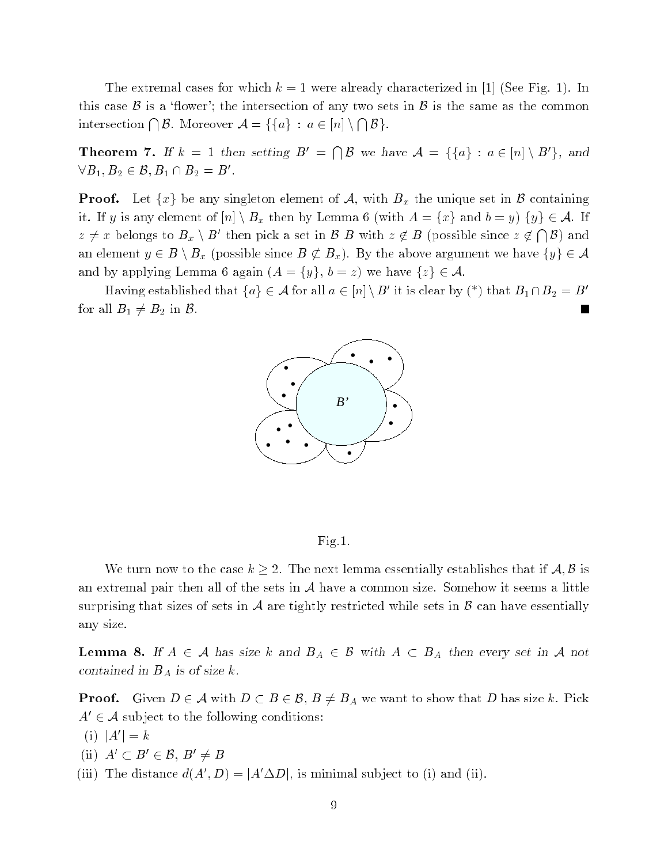The extremal cases for which  $k = 1$  were already characterized in [1] (See Fig. 1). In this case  $\beta$  is a 'flower'; the intersection of any two sets in  $\beta$  is the same as the common intersection  $\bigcap \mathcal{B}$ . Moreover  $\mathcal{A} = \{ \{a\} : a \in [n] \setminus \bigcap$  $-$ 

**Theorem 7.** If  $k = 1$  then setting  $B' = \bigcap \mathcal{B}$  we have  $\mathcal{A} = \{ \{a\} : a \in [n] \setminus B' \}$ , and  $\forall B_1,B_2 \in \mathcal{B}, B_1 \cap B_2 = B'.$ 

**Proof.** Let  $\{x\}$  be any singleton element of A, with  $B_x$  the unique set in B containing it. If y is any element of  $[n] \setminus B_x$  then by Lemma 6 (with  $A = \{x\}$  and  $b = y$ )  $\{y\} \in \mathcal{A}$ . If  $z \neq x$  belongs to  $B_x \setminus B'$  then pick a set in B B with  $z \notin B$  (possible since  $z \notin \bigcap$ B) and an element  $y \in B \setminus B_x$  (possible since  $B \not\subset B_x$ ). By the above argument we have  $\{y\} \in \mathcal{A}$ and by applying Lemma 6 again  $(A = \{y\}, b = z)$  we have  $\{z\} \in \mathcal{A}$ .

Having established that  $\{a\} \in \mathcal{A}$  for all  $a \in |n| \setminus B'$  it is clear by (\*) that  $B_1 \cap B_2 = B'$ for all  $B_1 \neq B_2$  in  $\mathcal{B}$ . L.





We turn now to the case  $k \geq 2$ . The next lemma essentially establishes that if  $\mathcal{A}, \mathcal{B}$  is an extremal pair then all of the sets in  $A$  have a common size. Somehow it seems a little surprising that sizes of sets in  $A$  are tightly restricted while sets in  $B$  can have essentially any size.

**Lemma 8.** If  $A \in \mathcal{A}$  has size k and  $B_A \in \mathcal{B}$  with  $A \subset B_A$  then every set in  $\mathcal{A}$  not contained in  $B_A$  is of size k.

**Proof.** Given  $D \in \mathcal{A}$  with  $D \subset B \in \mathcal{B}$ ,  $B \neq B_A$  we want to show that D has size k. Pick  $A' \in \mathcal{A}$  subject to the following conditions:

$$
(i) |A'| = k
$$

- (ii)  $A' \subset B' \in \mathcal{B}$ ,  $B' \neq B$
- (iii) The distance  $d(A', D) = |A' \Delta D|$ , is minimal subject to (i) and (ii).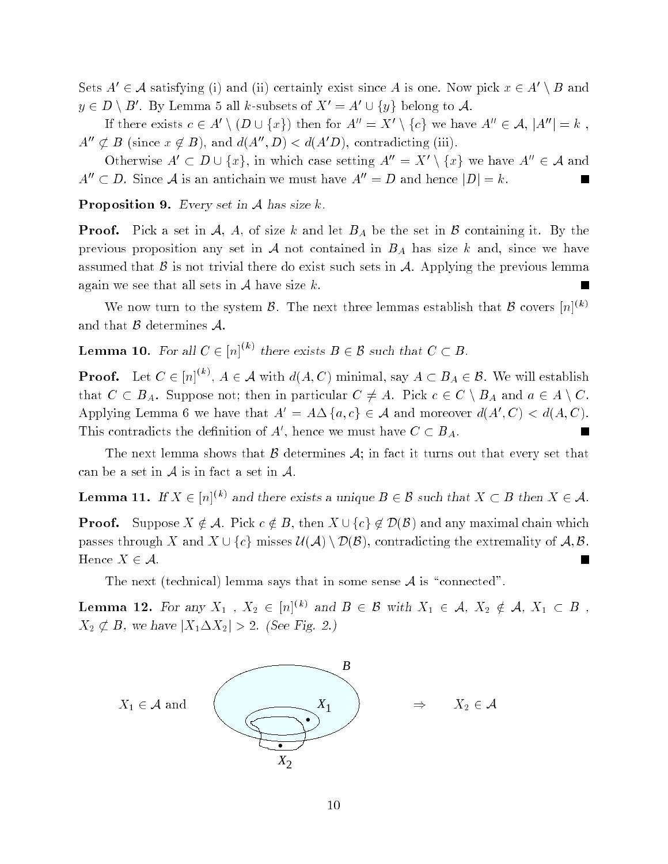Sets  $A' \in \mathcal{A}$  satisfying (i) and (ii) certainly exist since A is one. Now pick  $x \in A' \setminus B$  and  $y \in D \setminus B'$ . By Lemma 5 all  $k$ -subsets of  $X' = A' \cup \{y\}$  belong to  $\mathcal{A}$ .

If there exists  $c \in A' \setminus (D \cup \{x\})$  then for  $A'' = X' \setminus \{c\}$  we have  $A'' \in A$ ,  $|A''| = k$ .  $A'' \not\subset B$  (since  $x \notin B$ ), and  $d(A'', D) < d(A'D)$ , contradicting (iii).

Otherwise  $A' \subset D \cup \{x\}$ , in which case setting  $A'' = X' \setminus \{x\}$  we have  $A'' \in A$  and  $A'' \subset D$ . Since A is an antichain we must have  $A'' = D$  and hence  $|D| = k$ .

**Proposition 9.** Every set in  $A$  has size  $k$ .

**Proof.** Pick a set in A, A, of size k and let  $B_A$  be the set in B containing it. By the previous proposition any set in  $A$  not contained in  $B_A$  has size k and, since we have assumed that  $\beta$  is not trivial there do exist such sets in  $\mathcal{A}$ . Applying the previous lemma again we see that all sets in  $A$  have size k.  $\blacksquare$ 

We now turn to the system B. The next three lemmas establish that B covers  $[n]^{(k)}$ and that  $\beta$  determines  $\mathcal{A}$ .

**Lemma 10.** For all  $C \in [n]^{(k)}$  there exists  $B \in \mathcal{B}$  such that  $C \subset B$ .

**Proof.** Let  $C \in [n]^{(k)}$ ,  $A \in \mathcal{A}$  with  $d(A, C)$  minimal, say  $A \subset B_A \in \mathcal{B}$ . We will establish that  $C \subset B_A$ . Suppose not; then in particular  $C \neq A$ . Pick  $c \in C \setminus B_A$  and  $a \in A \setminus C$ . Applying Lemma 6 we have that  $A' = A \Delta \{a, c\} \in A$  and moreover  $d(A', C) < d(A, C)$ . This contradicts the definition of A', hence we must have  $C \subset B_A$ .

The next lemma shows that  $\beta$  determines  $\mathcal{A}$ ; in fact it turns out that every set that can be a set in  $A$  is in fact a set in  $A$ .

**Lemma 11.** If  $X \in [n]^{(k)}$  and there exists a unique  $B \in \mathcal{B}$  such that  $X \subset B$  then  $X \in \mathcal{A}$ .

**Proof.** Suppose  $X \notin \mathcal{A}$ . Pick  $c \notin B$ , then  $X \cup \{c\} \notin \mathcal{D}(\mathcal{B})$  and any maximal chain which passes through X and  $X \cup \{c\}$  misses  $\mathcal{U}(\mathcal{A}) \setminus \mathcal{D}(\mathcal{B})$ , contradicting the extremality of  $\mathcal{A}, \mathcal{B}$ . Hence  $X \in \mathcal{A}$ .

The next (technical) lemma says that in some sense  $A$  is "connected".

**Lemma 12.** For any  $X_1$  ,  $X_2 \in [n]^{(k)}$  and  $B \in \mathcal{B}$  with  $X_1 \in \mathcal{A}$ ,  $X_2 \notin \mathcal{A}$ ,  $X_1 \subset B$ ,  $X_2 \not\subset B$ , we have  $|X_1 \Delta X_2| > 2$ . (See Fig. 2.)

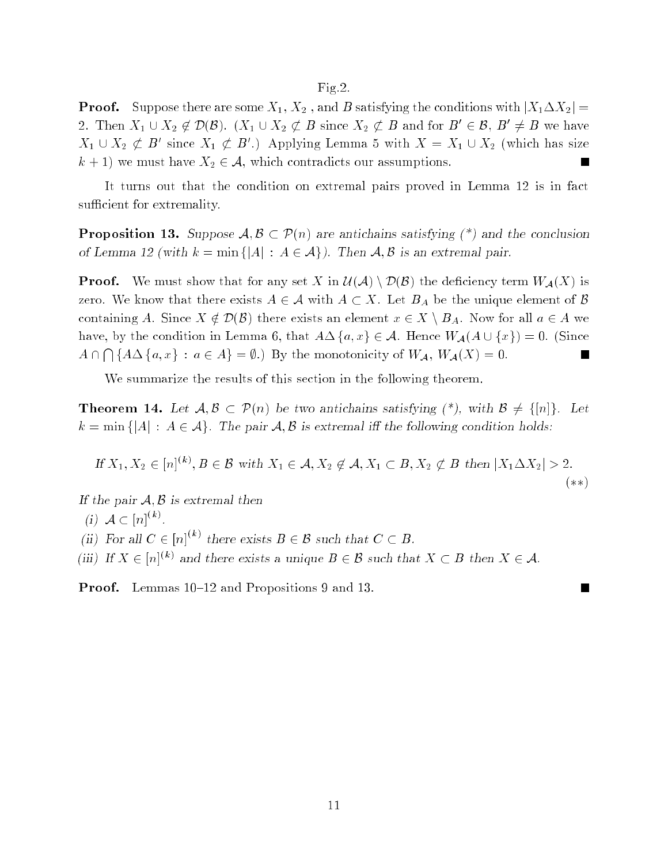#### Fig.2.

**Proof.** Suppose there are some  $X_1, X_2$ , and B satisfying the conditions with  $|X_1 \Delta X_2|$  = 2. Then  $X_1 \cup X_2 \notin \mathcal{D}(B)$ .  $(X_1 \cup X_2 \not\subset B$  since  $X_2 \not\subset B$  and for  $B' \in \mathcal{B}, B' \neq B$  we have  $X_1 \cup X_2 \not\subset B'$  since  $X_1 \not\subset B'$ .) Applying Lemma 5 with  $X = X_1 \cup X_2$  (which has size  $k + 1$ ) we must have  $X_2 \in \mathcal{A}$ , which contradicts our assumptions.  $\overline{\phantom{a}}$ 

It turns out that the condition on extremal pairs proved in Lemma 12 is in fact sufficient for extremality.

**Proposition 13.** Suppose  $A, B \subset \mathcal{P}(n)$  are antichains satisfying (\*) and the conclusion of Lemma 12 (with  $k = \min\{|A| : A \in \mathcal{A}\}\)$ . Then  $\mathcal{A}, \mathcal{B}$  is an extremal pair.

**Proof.** We must show that for any set X in  $\mathcal{U}(\mathcal{A}) \setminus \mathcal{D}(\mathcal{B})$  the deficiency term  $W_{\mathcal{A}}(X)$  is zero. We know that there exists  $A \in \mathcal{A}$  with  $A \subset X$ . Let  $B_A$  be the unique element of  $\mathcal{B}$ containing A. Since  $X \notin \mathcal{D}(\mathcal{B})$  there exists an element  $x \in X \setminus B_A$ . Now for all  $a \in A$  we have, by the condition in Lemma 6, that  $A\Delta \{a, x\} \in \mathcal{A}$ . Hence  $W_{\mathcal{A}}(A \cup \{x\}) = 0$ . (Since  $A \cap \bigcap \{A \Delta \{a, x\} : a \in A\} = \emptyset$ .) By the monotonicity of  $W_{\mathcal{A}}$ ,  $W_{\mathcal{A}}(X) = 0$ . ◼

We summarize the results of this section in the following theorem.

**Theorem 14.** Let  $A, B \subset \mathcal{P}(n)$  be two antichains satisfying  $(*)$ , with  $B \neq \{[n]\}\$ . Let  $k = \min\{|A| : A \in \mathcal{A}\}\$ . The pair  $\mathcal{A}, \mathcal{B}$  is extremal if the following condition holds:

If 
$$
X_1, X_2 \in [n]^{(k)}, B \in \mathcal{B}
$$
 with  $X_1 \in \mathcal{A}, X_2 \notin \mathcal{A}, X_1 \subset B, X_2 \notin B$  then  $|X_1 \Delta X_2| > 2$ .  
(\*\*)

If the pair  $A, B$  is extremal then

(i)  $A \subset [n]^{(k)}$ .

(ii) For all  $C \in [n]^{(k)}$  there exists  $B \in \mathcal{B}$  such that  $C \subset B$ .

(iii) If  $X \in [n]^{(k)}$  and there exists a unique  $B \in \mathcal{B}$  such that  $X \subset B$  then  $X \in \mathcal{A}$ .

**Proof.** Lemmas 10–12 and Propositions 9 and 13.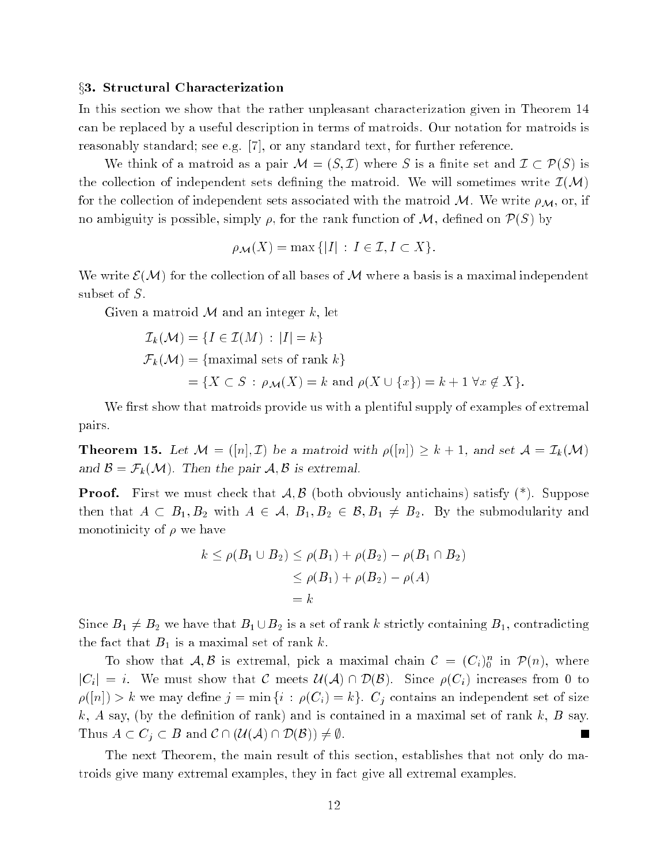#### $\S 3.$  Structural Characterization

In this section we show that the rather unpleasant characterization given in Theorem 14 can be replaced by a useful description in terms of matroids. Our notation for matroids is reasonably standard; see e.g. [7], or any standard text, for further reference.

We think of a matroid as a pair  $\mathcal{M} = (S, \mathcal{I})$  where S is a finite set and  $\mathcal{I} \subset \mathcal{P}(S)$  is the collection of independent sets defining the matroid. We will sometimes write  $\mathcal{I}(\mathcal{M})$ for the collection of independent sets associated with the matroid M. We write  $\rho_M$ , or, if no ambiguity is possible, simply  $\rho$ , for the rank function of M, defined on  $\mathcal{P}(S)$  by

$$
\rho_{\mathcal{M}}(X) = \max\{|I| : I \in \mathcal{I}, I \subset X\}.
$$

We write  $\mathcal{E}(\mathcal{M})$  for the collection of all bases of M where a basis is a maximal independent subset of S.

Given a matroid  $M$  and an integer k, let

$$
\mathcal{I}_k(\mathcal{M}) = \{I \in \mathcal{I}(M) : |I| = k\}
$$
  

$$
\mathcal{F}_k(\mathcal{M}) = \{\text{maximal sets of rank } k\}
$$
  

$$
= \{X \subset S : \rho_{\mathcal{M}}(X) = k \text{ and } \rho(X \cup \{x\}) = k + 1 \,\forall x \notin X\}.
$$

We first show that matroids provide us with a plentiful supply of examples of extremal pairs.

**Theorem 15.** Let  $\mathcal{M} = ([n], \mathcal{I})$  be a matroid with  $\rho([n]) \geq k+1$ , and set  $\mathcal{A} = \mathcal{I}_k(\mathcal{M})$ and  $\mathcal{B} = \mathcal{F}_k(\mathcal{M})$ . Then the pair  $\mathcal{A}, \mathcal{B}$  is extremal.

**Proof.** First we must check that  $\mathcal{A}, \mathcal{B}$  (both obviously antichains) satisfy  $(*)$ . Suppose then that  $A \subset B_1, B_2$  with  $A \in \mathcal{A}, B_1, B_2 \in \mathcal{B}, B_1 \neq B_2$ . By the submodularity and monotinicity of  $\rho$  we have

$$
k \le \rho(B_1 \cup B_2) \le \rho(B_1) + \rho(B_2) - \rho(B_1 \cap B_2)
$$
  
\n
$$
\le \rho(B_1) + \rho(B_2) - \rho(A)
$$
  
\n
$$
= k
$$

Since  $B_1 \neq B_2$  we have that  $B_1 \cup B_2$  is a set of rank k strictly containing  $B_1$ , contradicting the fact that  $B_1$  is a maximal set of rank k.

To show that  $A, B$  is extremal, pick a maximal chain  $C = (C_i)_0^n$  in  $\mathcal{P}(n)$ , where  $|C_i| = i$ . We must show that C meets  $\mathcal{U}(\mathcal{A}) \cap \mathcal{D}(\mathcal{B})$ . Since  $\rho(C_i)$  increases from 0 to  $\rho([n]) > k$  we may define  $j = \min\{i : \rho(C_i) = k\}$ .  $C_j$  contains an independent set of size k, A say, (by the definition of rank) and is contained in a maximal set of rank k, B say. Thus  $A \subset C_j \subset B$  and  $\mathcal{C} \cap (\mathcal{U}(\mathcal{A}) \cap \mathcal{D}(\mathcal{B})) \neq \emptyset$ . L.

The next Theorem, the main result of this section, establishes that not only do matroids give many extremal examples, they in fact give all extremal examples.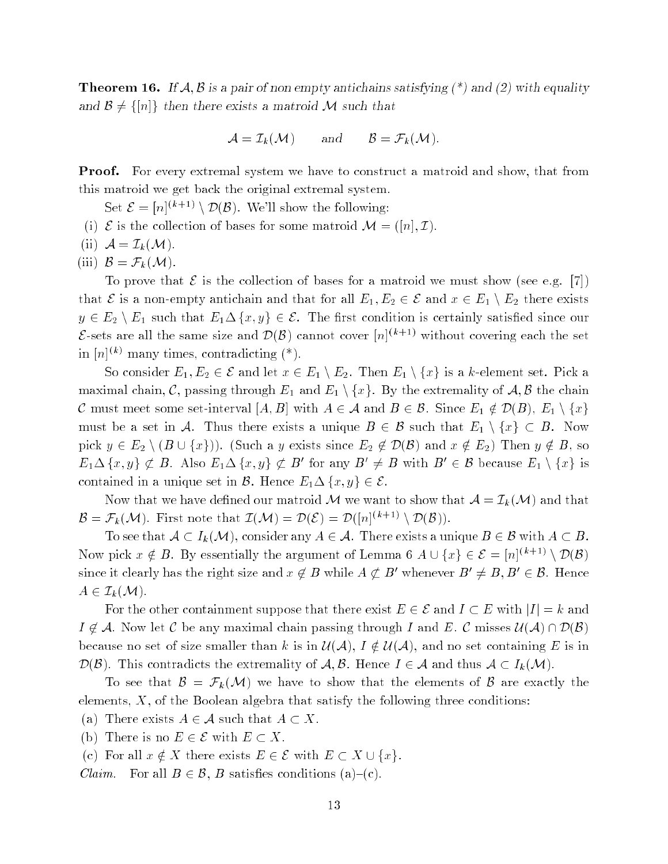**Theorem 16.** If  $A, B$  is a pair of non empty antichains satisfying  $(*)$  and  $(2)$  with equality and  $\mathcal{B} \neq \{[n]\}\$  then there exists a matroid M such that

$$
\mathcal{A} = \mathcal{I}_k(\mathcal{M}) \quad \text{and} \quad \mathcal{B} = \mathcal{F}_k(\mathcal{M}).
$$

**Proof.** For every extremal system we have to construct a matroid and show, that from this matroid we get back the original extremal system.

Set  $\mathcal{E} = [n]^{(k+1)} \setminus \mathcal{D}(\mathcal{B})$ . We'll show the following:

- (i)  $\mathcal E$  is the collection of bases for some matroid  $\mathcal M = ([n], \mathcal I)$ .
- (ii)  $\mathcal{A} = \mathcal{I}_k(\mathcal{M}).$

(iii)  $\mathcal{B} = \mathcal{F}_k(\mathcal{M}).$ 

To prove that  $\mathcal E$  is the collection of bases for a matroid we must show (see e.g. [7]) that  $\mathcal E$  is a non-empty antichain and that for all  $E_1, E_2 \in \mathcal E$  and  $x \in E_1 \setminus E_2$  there exists  $y \in E_2 \setminus E_1$  such that  $E_1 \Delta \{x, y\} \in \mathcal{E}$ . The first condition is certainly satisfied since our  $\mathcal{E}$ -sets are all the same size and  $\mathcal{D}(\mathcal{B})$  cannot cover  $[n]^{(k+1)}$  without covering each the set in  $[n]^{(k)}$  many times, contradicting  $(*)$ .

So consider  $E_1, E_2 \in \mathcal{E}$  and let  $x \in E_1 \setminus E_2$ . Then  $E_1 \setminus \{x\}$  is a k-element set. Pick a maximal chain, C, passing through  $E_1$  and  $E_1 \setminus \{x\}$ . By the extremality of A, B the chain C must meet some set-interval  $[A, B]$  with  $A \in \mathcal{A}$  and  $B \in \mathcal{B}$ . Since  $E_1 \notin \mathcal{D}(B), E_1 \setminus \{x\}$ must be a set in A. Thus there exists a unique  $B \in \mathcal{B}$  such that  $E_1 \setminus \{x\} \subset B$ . Now pick  $y \in E_2 \setminus (B \cup \{x\})$ . (Such a y exists since  $E_2 \notin \mathcal{D}(\mathcal{B})$  and  $x \notin E_2$ ) Then  $y \notin B$ , so  $E_1 \Delta \{x, y\} \not\subset B$ . Also  $E_1 \Delta \{x, y\} \not\subset B'$  for any  $B' \neq B$  with  $B' \in B$  because  $E_1 \setminus \{x\}$  is contained in a unique set in B. Hence  $E_1 \Delta \{x, y\} \in \mathcal{E}$ .

Now that we have defined our matroid M we want to show that  $A = \mathcal{I}_k(\mathcal{M})$  and that  $\mathcal{B} = \mathcal{F}_k(\mathcal{M})$ . First note that  $\mathcal{I}(\mathcal{M}) = \mathcal{D}(\mathcal{E}) = \mathcal{D}([n]^{(k+1)} \setminus \mathcal{D}(\mathcal{B}))$ .

To see that  $A \subset I_k(\mathcal{M})$ , consider any  $A \in \mathcal{A}$ . There exists a unique  $B \in \mathcal{B}$  with  $A \subset B$ . Now pick  $x \notin B$ . By essentially the argument of Lemma 6  $A \cup \{x\} \in \mathcal{E} = [n]^{(k+1)} \setminus \mathcal{D}(\mathcal{B})$ since it clearly has the right size and  $x \notin B$  while  $A \not\subset B'$  whenever  $B' \neq B, B' \in \mathcal{B}$ . Hence  $A\in\mathcal{I}_k(\mathcal{M}).$ 

For the other containment suppose that there exist  $E \in \mathcal{E}$  and  $I \subset E$  with  $|I| = k$  and  $I \notin \mathcal{A}$ . Now let C be any maximal chain passing through I and E. C misses  $\mathcal{U}(\mathcal{A}) \cap \mathcal{D}(\mathcal{B})$ because no set of size smaller than k is in  $\mathcal{U}(\mathcal{A}), I \notin \mathcal{U}(\mathcal{A}),$  and no set containing E is in  $\mathcal{D}(\mathcal{B})$ . This contradicts the extremality of A, B. Hence  $I \in \mathcal{A}$  and thus  $\mathcal{A} \subset I_k(\mathcal{M})$ .

To see that  $\mathcal{B} = \mathcal{F}_k(\mathcal{M})$  we have to show that the elements of  $\mathcal{B}$  are exactly the elements,  $X$ , of the Boolean algebra that satisfy the following three conditions:

(a) There exists  $A \in \mathcal{A}$  such that  $A \subset X$ .

(b) There is no  $E \in \mathcal{E}$  with  $E \subset X$ .

(c) For all  $x \notin X$  there exists  $E \in \mathcal{E}$  with  $E \subset X \cup \{x\}.$ 

*Claim.* For all  $B \in \mathcal{B}$ , B satisfies conditions (a)–(c).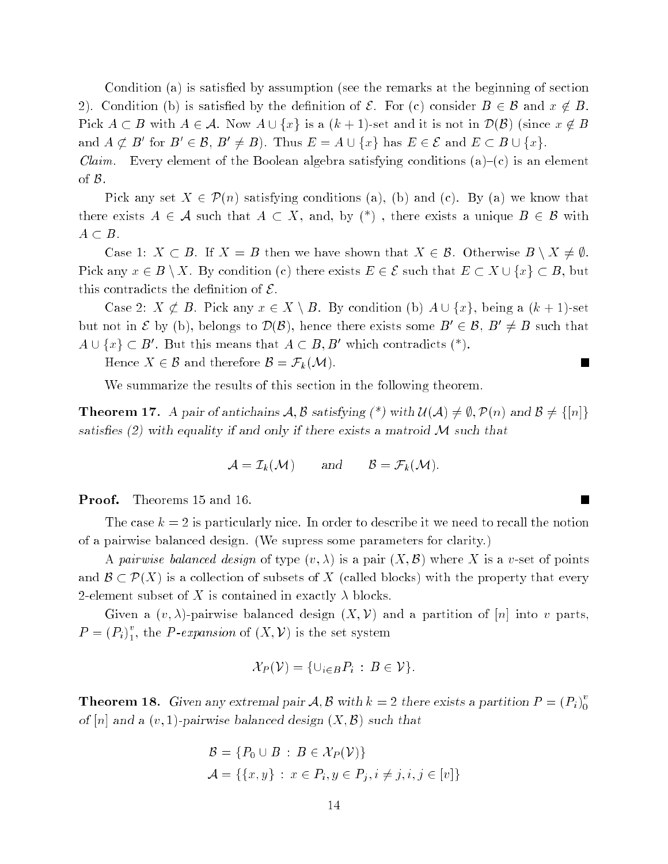Condition (a) is satisfied by assumption (see the remarks at the beginning of section 2). Condition (b) is satisfied by the definition of  $\mathcal{E}$ . For (c) consider  $B \in \mathcal{B}$  and  $x \notin B$ . Pick  $A \subset B$  with  $A \in \mathcal{A}$ . Now  $A \cup \{x\}$  is a  $(k + 1)$ -set and it is not in  $\mathcal{D}(\mathcal{B})$  (since  $x \notin B$ and  $A \not\subset B'$  for  $B' \in \mathcal{B}$ ,  $B' \neq B$ ). Thus  $E = A \cup \{x\}$  has  $E \in \mathcal{E}$  and  $E \subset B \cup \{x\}$ .

*Claim.* Every element of the Boolean algebra satisfying conditions  $(a)-(c)$  is an element of B.

Pick any set  $X \in \mathcal{P}(n)$  satisfying conditions (a), (b) and (c). By (a) we know that there exists  $A \in \mathcal{A}$  such that  $A \subset X$ , and, by  $(*)$ , there exists a unique  $B \in \mathcal{B}$  with  $A \subset B$ .

Case 1:  $X \subset B$ . If  $X = B$  then we have shown that  $X \in \mathcal{B}$ . Otherwise  $B \setminus X \neq \emptyset$ . Pick any  $x \in B \setminus X$ . By condition (c) there exists  $E \in \mathcal{E}$  such that  $E \subset X \cup \{x\} \subset B$ , but this contradicts the definition of  $\mathcal{E}$ .

Case 2:  $X \not\subset B$ . Pick any  $x \in X \setminus B$ . By condition (b)  $A \cup \{x\}$ , being a  $(k+1)$ -set but not in  $\mathcal{E}$  by (b), belongs to  $\mathcal{D}(\mathcal{B})$ , hence there exists some  $B' \in \mathcal{B}, B' \neq B$  such that  $A \cup \{x\} \subset B'$ . But this means that  $A \subset B$ , B' which contradicts  $(*)$ .

Hence  $X \in \mathcal{B}$  and therefore  $\mathcal{B} = \mathcal{F}_k(\mathcal{M})$ .

We summarize the results of this section in the following theorem.

**Theorem 17.** A pair of antichains  $\mathcal{A}, \mathcal{B}$  satisfying  $(*)$  with  $\mathcal{U}(\mathcal{A}) \neq \emptyset$ ,  $\mathcal{P}(n)$  and  $\mathcal{B} \neq \{[n]\}$ satisfies (2) with equality if and only if there exists a matroid  $\mathcal M$  such that

$$
\mathcal{A} = \mathcal{I}_k(\mathcal{M}) \quad \text{and} \quad \mathcal{B} = \mathcal{F}_k(\mathcal{M}).
$$

Proof. Theorems 15 and 16.

 $\overline{\phantom{a}}$ 

The case  $k = 2$  is particularly nice. In order to describe it we need to recall the notion of a pairwise balanced design. (We supress some parameters for clarity.)

A pairwise balanced design of type  $(v, \lambda)$  is a pair  $(X, \mathcal{B})$  where X is a v-set of points and  $\mathcal{B} \subset \mathcal{P}(X)$  is a collection of subsets of X (called blocks) with the property that every 2-element subset of X is contained in exactly  $\lambda$  blocks.

Given a  $(v, \lambda)$ -pairwise balanced design  $(X, V)$  and a partition of [n] into v parts,  $P=(P_i)_1^v$ , the *P*-expansion of  $(X, V)$  is the set system

$$
\mathcal{X}_P(\mathcal{V}) = \{ \cup_{i \in B} P_i : B \in \mathcal{V} \}.
$$

**Theorem 18.** Given any extremal pair  $A, B$  with  $k = 2$  there exists a partition  $P = (P_i)_0^v$  $\overline{\phantom{0}}$ of  $[n]$  and a  $(v, 1)$ -pairwise balanced design  $(X, \mathcal{B})$  such that

$$
\mathcal{B} = \{ P_0 \cup B : B \in \mathcal{X}_P(\mathcal{V}) \}
$$
  

$$
\mathcal{A} = \{ \{x, y\} : x \in P_i, y \in P_j, i \neq j, i, j \in [v] \}
$$

 $\blacksquare$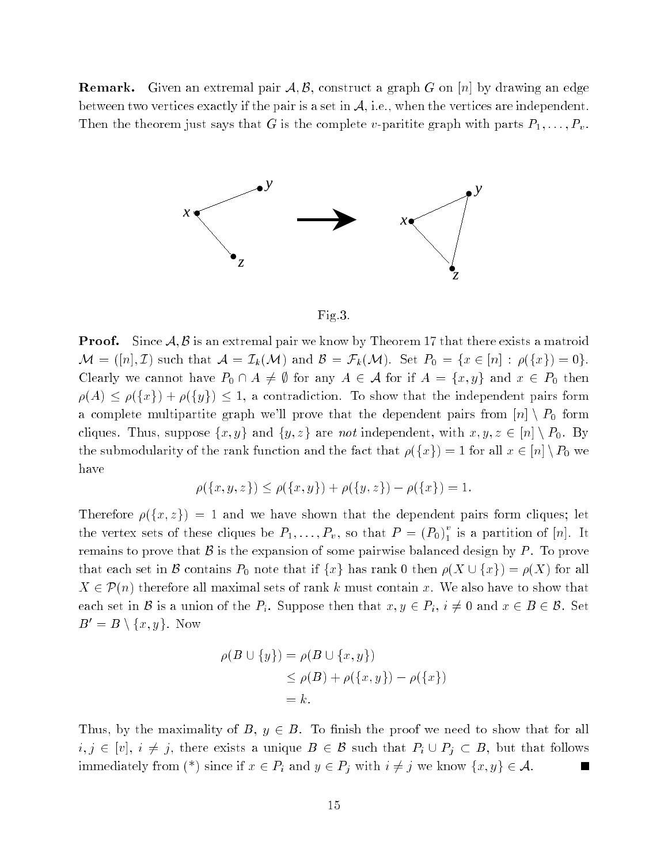**Remark.** Given an extremal pair  $\mathcal{A}, \mathcal{B}$ , construct a graph G on [n] by drawing an edge between two vertices exactly if the pair is a set in  $A$ , i.e., when the vertices are independent. Then the theorem just says that G is the complete v-paritite graph with parts  $P_1, \ldots, P_v$ .



Fig.3.

**Proof.** Since  $A, B$  is an extremal pair we know by Theorem 17 that there exists a matroid  $\mathcal{M} = ([n], \mathcal{I})$  such that  $\mathcal{A} = \mathcal{I}_k(\mathcal{M})$  and  $\mathcal{B} = \mathcal{F}_k(\mathcal{M})$ . Set  $P_0 = \{x \in [n] : \rho(\{x\}) = 0\}.$ Clearly we cannot have  $P_0 \cap A \neq \emptyset$  for any  $A \in \mathcal{A}$  for if  $A = \{x, y\}$  and  $x \in P_0$  then  $\rho(A) \leq \rho({x}) + \rho({y}) \leq 1$ , a contradiction. To show that the independent pairs form a complete multipartite graph we'll prove that the dependent pairs from  $[n] \setminus P_0$  form cliques. Thus, suppose  $\{x, y\}$  and  $\{y, z\}$  are not independent, with  $x, y, z \in [n] \setminus P_0$ . By the submodularity of the rank function and the fact that  $\rho({x}) = 1$  for all  $x \in [n] \setminus P_0$  we have

$$
\rho(\{x, y, z\}) \le \rho(\{x, y\}) + \rho(\{y, z\}) - \rho(\{x\}) = 1.
$$

Therefore  $\rho(\lbrace x,z \rbrace) = 1$  and we have shown that the dependent pairs form cliques; let the vertex sets of these cliques be  $P_1, \ldots, P_v$ , so that  $P = (P_0)^v_1$  is a partition of [n]. It remains to prove that  $\beta$  is the expansion of some pairwise balanced design by P. To prove that each set in B contains  $P_0$  note that if  $\{x\}$  has rank 0 then  $\rho(X \cup \{x\}) = \rho(X)$  for all  $X \in \mathcal{P}(n)$  therefore all maximal sets of rank k must contain x. We also have to show that each set in B is a union of the  $P_i$ . Suppose then that  $x, y \in P_i$ ,  $i \neq 0$  and  $x \in B \in \mathcal{B}$ . Set  $B' = B \setminus \{x, y\}.$  Now

$$
\rho(B \cup \{y\}) = \rho(B \cup \{x, y\})
$$
  
\n
$$
\leq \rho(B) + \rho(\{x, y\}) - \rho(\{x\})
$$
  
\n
$$
= k.
$$

Thus, by the maximality of  $B, y \in B$ . To finish the proof we need to show that for all  $i,j \in [v], i \neq j$ , there exists a unique  $B \in \mathcal{B}$  such that  $P_i \cup P_j \subset B$ , but that follows immediately from (\*) since if  $x \in P_i$  and  $y \in P_j$  with  $i \neq j$  we know  $\{x, y\} \in \mathcal{A}$ .  $\blacksquare$